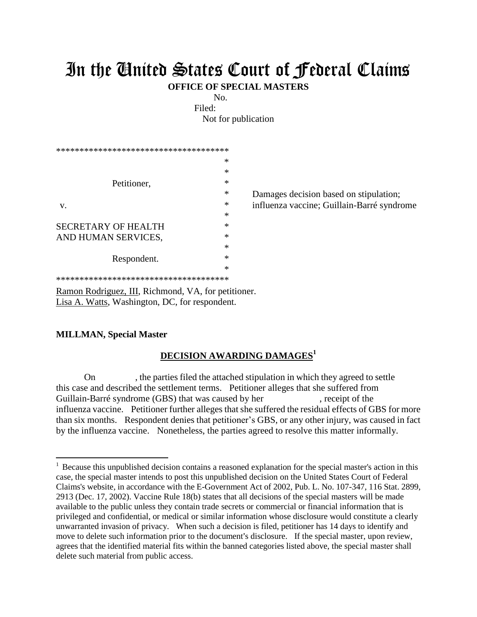## In the United States Court of Federal Claims

**OFFICE OF SPECIAL MASTERS**

No.

Filed:

Not for publication

| ************************************** |                                            |
|----------------------------------------|--------------------------------------------|
| ∗                                      |                                            |
| ∗                                      |                                            |
| ∗                                      |                                            |
| $\ast$                                 | Damages decision based on stipulation;     |
| *                                      | influenza vaccine; Guillain-Barré syndrome |
| ∗                                      |                                            |
| ∗                                      |                                            |
| ∗                                      |                                            |
| ∗                                      |                                            |
| ∗                                      |                                            |
| ∗                                      |                                            |
| ************************************** |                                            |
|                                        |                                            |

Ramon Rodriguez, III, Richmond, VA, for petitioner. Lisa A. Watts, Washington, DC, for respondent.

## **MILLMAN, Special Master**

 $\overline{a}$ 

## **DECISION AWARDING DAMAGES<sup>1</sup>**

On , the parties filed the attached stipulation in which they agreed to settle this case and described the settlement terms. Petitioner alleges that she suffered from Guillain-Barré syndrome (GBS) that was caused by her , receipt of the influenza vaccine. Petitioner further alleges that she suffered the residual effects of GBS for more than six months. Respondent denies that petitioner's GBS, or any other injury, was caused in fact by the influenza vaccine. Nonetheless, the parties agreed to resolve this matter informally.

<sup>&</sup>lt;sup>1</sup> Because this unpublished decision contains a reasoned explanation for the special master's action in this case, the special master intends to post this unpublished decision on the United States Court of Federal Claims's website, in accordance with the E-Government Act of 2002, Pub. L. No. 107-347, 116 Stat. 2899, 2913 (Dec. 17, 2002). Vaccine Rule 18(b) states that all decisions of the special masters will be made available to the public unless they contain trade secrets or commercial or financial information that is privileged and confidential, or medical or similar information whose disclosure would constitute a clearly unwarranted invasion of privacy. When such a decision is filed, petitioner has 14 days to identify and move to delete such information prior to the document's disclosure. If the special master, upon review, agrees that the identified material fits within the banned categories listed above, the special master shall delete such material from public access.